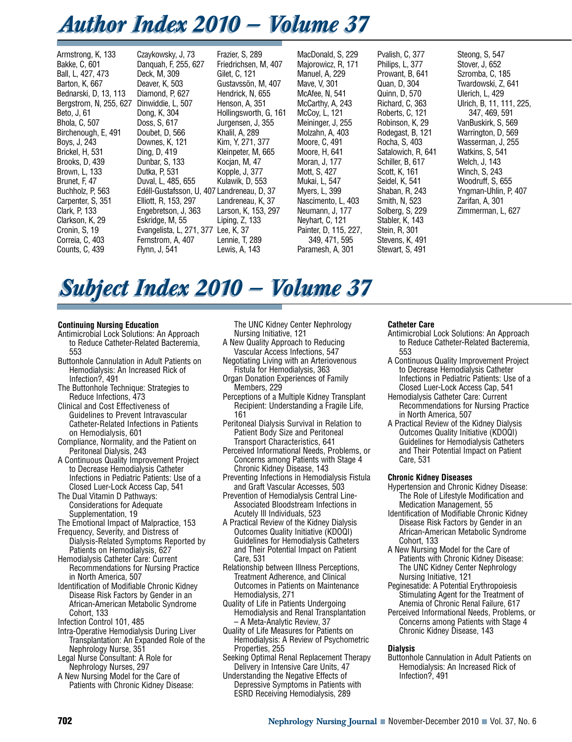## *Author Index 2010 — Volume 37 Author Index 2010 — Volume 37*

Armstrong, K, 133 Bakke, C, 601 Ball, L, 427, 473 Barton, K, 667 Bednarski, D, 13, 113 Bergstrom, N, 255, 627 Beto, J, 61 Bhola, C, 507 Birchenough, E, 491 Boys, J, 243 Brickel, H, 531 Brooks, D, 439 Brown, L, 133 Brunet, F, 47 Buchholz, P, 563 Carpenter, S, 351 Clark, P, 133 Clarkson, K, 29 Cronin, S, 19 Correia, C, 403 Counts, C, 439

Czaykowsky, J, 73 Danquah, F, 255, 627 Deck, M, 309 Deaver, K, 503 Diamond, P, 627 Dinwiddie, L, 507 Dong, K, 304 Doss, S, 617 Doubet, D, 566 Downes, K, 121 Ding, D, 419 Dunbar, S, 133 Dutka, P, 531 Duval, L, 485, 655 Edéll-Gustafsson, U, 407 Landreneau, D, 37 Elliott, R, 153, 297 Engebretson, J, 363 Eskridge, M, 55 Evangelista, L, 271, 377 Lee, K, 37 Fernstrom, A, 407 Flynn, J, 541

Frazier, S, 289 Friedrichsen, M, 407 Gilet, C, 121 Gustavssön, M, 407 Hendrick, N, 655 Henson, A, 351 Hollingsworth, G, 161 Jurgensen, J, 355 Khalil, A, 289 Kim, Y, 271, 377 Kleinpeter, M, 665 Kocjan, M, 47 Kopple, J, 377 Kulawik, D, 553 Landreneau, K, 37 Larson, K, 153, 297 Liping, Z, 133 Lennie, T, 289 Lewis, A, 143

MacDonald, S, 229 Majorowicz, R, 171 Manuel, A, 229 Mave, V, 301 McAfee, N, 541 McCarthy, A, 243 McCoy, L, 121 Meininger, J, 255 Molzahn, A, 403 Moore, C, 491 Moore, H, 641 Moran, J, 177 Mott, S, 427 Mukai, L, 547 Myers, L, 399 Nascimento, L, 403 Neumann, J, 177 Neyhart, C, 121 Painter, D, 115, 227, 349, 471, 595 Paramesh, A, 301

Pvalish, C, 377 Philips, L, 377 Prowant, B, 641 Quan, D, 304 Quinn, D, 570 Richard, C, 363 Roberts, C, 121 Robinson, K, 29 Rodegast, B, 121 Rocha, S, 403 Satalowich, R, 641 Schiller, B, 617 Scott, K, 161 Seidel, K, 541 Shaban, R, 243 Smith, N, 523 Solberg, S, 229 Stabler, K, 143 Stein, R, 301 Stevens, K, 491 Stewart, S, 491

Steong, S, 547 Stover, J, 652 Szromba, C, 185 Twardowski, Z, 641 Ulerich, L, 429 Ulrich, B, 11, 111, 225, 347, 469, 591 VanBuskirk, S, 569 Warrington, D, 569 Wasserman, J, 255 Watkins, S, 541 Welch, J, 143 Winch, S, 243 Woodruff, S, 655 Yngman-Uhlin, P, 407 Zarifan, A, 301 Zimmerman, L, 627

# *Subject Index 2010 — Volume 37 Subject Index 2010 — Volume 37*

## **Continuing Nursing Education**

- Antimicrobial Lock Solutions: An Approach to Reduce Catheter-Related Bacteremia, 553
- Buttonhole Cannulation in Adult Patients on Hemodialysis: An Increased Rick of Infection?, 491
- The Buttonhole Technique: Strategies to Reduce Infections, 473
- Clinical and Cost Effectiveness of Guidelines to Prevent Intravascular Catheter-Related Infections in Patients on Hemodialysis, 601
- Compliance, Normality, and the Patient on Peritoneal Dialysis, 243
- A Continuous Quality Improvement Project to Decrease Hemodialysis Catheter Infections in Pediatric Patients: Use of a Closed Luer-Lock Access Cap, 541
- The Dual Vitamin D Pathways: Considerations for Adequate Supplementation, 19
- The Emotional Impact of Malpractice, 153 Frequency, Severity, and Distress of Dialysis-Related Symptoms Reported by
- Patients on Hemodialysis, 627 Hemodialysis Catheter Care: Current
- Recommendations for Nursing Practice in North America, 507 Identification of Modifiable Chronic Kidney
- Disease Risk Factors by Gender in an African-American Metabolic Syndrome Cohort, 133
- Infection Control 101, 485
- Intra-Operative Hemodialysis During Liver Transplantation: An Expanded Role of the Nephrology Nurse, 351
- Legal Nurse Consultant: A Role for Nephrology Nurses, 297
- A New Nursing Model for the Care of Patients with Chronic Kidney Disease:

The UNC Kidney Center Nephrology Nursing Initiative, 121

- A New Quality Approach to Reducing Vascular Access Infections, 547
- Negotiating Living with an Arteriovenous Fistula for Hemodialysis, 363
- Organ Donation Experiences of Family Members, 229
- Perceptions of a Multiple Kidney Transplant Recipient: Understanding a Fragile Life, 161
- Peritoneal Dialysis Survival in Relation to Patient Body Size and Peritoneal Transport Characteristics, 641
- Perceived Informational Needs, Problems, or Concerns among Patients with Stage 4 Chronic Kidney Disease, 143
- Preventing Infections in Hemodialysis Fistula and Graft Vascular Accesses, 503
- Prevention of Hemodialysis Central Line-Associated Bloodstream Infections in Acutely Ill Individuals, 523
- A Practical Review of the Kidney Dialysis Outcomes Quality Initiative (KDOQI) Guidelines for Hemodialysis Catheters and Their Potential Impact on Patient Care, 531
- Relationship between Illness Perceptions, Treatment Adherence, and Clinical Outcomes in Patients on Maintenance Hemodialysis, 271
- Quality of Life in Patients Undergoing Hemodialysis and Renal Transplantation – A Meta-Analytic Review, 37
- Quality of Life Measures for Patients on Hemodialysis: A Review of Psychometric Properties, 255
- Seeking Optimal Renal Replacement Therapy Delivery in Intensive Care Units, 47
- Understanding the Negative Effects of Depressive Symptoms in Patients with ESRD Receiving Hemodialysis, 289

## **Catheter Care**

- Antimicrobial Lock Solutions: An Approach to Reduce Catheter-Related Bacteremia, 553
- A Continuous Quality Improvement Project to Decrease Hemodialysis Catheter Infections in Pediatric Patients: Use of a Closed Luer-Lock Access Cap, 541
- Hemodialysis Catheter Care: Current Recommendations for Nursing Practice in North America, 507
- A Practical Review of the Kidney Dialysis Outcomes Quality Initiative (KDOQI) Guidelines for Hemodialysis Catheters and Their Potential Impact on Patient Care, 531

## **Chronic Kidney Diseases**

- Hypertension and Chronic Kidney Disease: The Role of Lifestyle Modification and Medication Management, 55
- Identification of Modifiable Chronic Kidney Disease Risk Factors by Gender in an African-American Metabolic Syndrome Cohort, 133
- A New Nursing Model for the Care of Patients with Chronic Kidney Disease: The UNC Kidney Center Nephrology Nursing Initiative, 121
- Peginesatide: A Potential Erythropoiesis Stimulating Agent for the Treatment of Anemia of Chronic Renal Failure, 617
- Perceived Informational Needs, Problems, or Concerns among Patients with Stage 4 Chronic Kidney Disease, 143

## **Dialysis**

Buttonhole Cannulation in Adult Patients on Hemodialysis: An Increased Rick of Infection?, 491